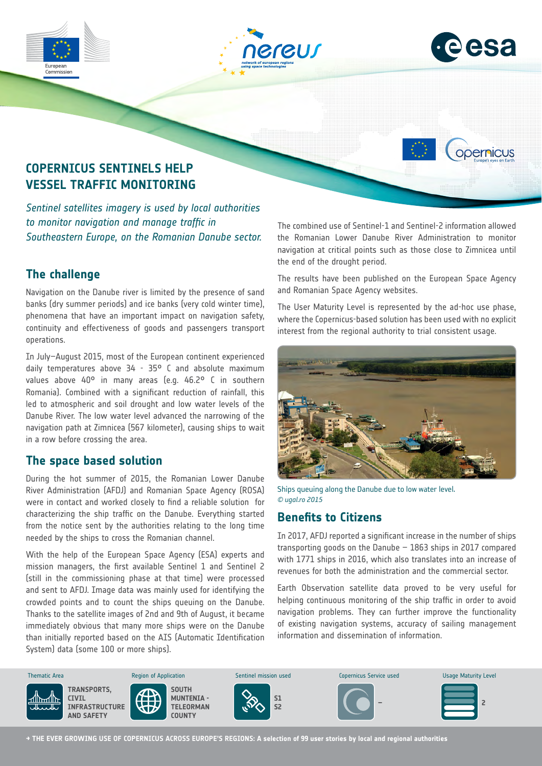

*to monitor navigation and manage traffic in Southeastern Europe, on the Romanian Danube sector.*

# **The challenge**

Navigation on the Danube river is limited by the presence of sand banks (dry summer periods) and ice banks (very cold winter time), phenomena that have an important impact on navigation safety, continuity and effectiveness of goods and passengers transport operations.

In July–August 2015, most of the European continent experienced daily temperatures above 34 - 35° C and absolute maximum values above 40° in many areas (e.g. 46.2° C in southern Romania). Combined with a significant reduction of rainfall, this led to atmospheric and soil drought and low water levels of the Danube River. The low water level advanced the narrowing of the navigation path at Zimnicea (567 kilometer), causing ships to wait in a row before crossing the area.

### **The space based solution**

During the hot summer of 2015, the Romanian Lower Danube River Administration (AFDJ) and Romanian Space Agency (ROSA) were in contact and worked closely to find a reliable solution for characterizing the ship traffic on the Danube. Everything started from the notice sent by the authorities relating to the long time needed by the ships to cross the Romanian channel.

With the help of the European Space Agency (ESA) experts and mission managers, the first available Sentinel 1 and Sentinel 2 (still in the commissioning phase at that time) were processed and sent to AFDJ. Image data was mainly used for identifying the crowded points and to count the ships queuing on the Danube. Thanks to the satellite images of 2nd and 9th of August, it became immediately obvious that many more ships were on the Danube than initially reported based on the AIS (Automatic Identification System) data (some 100 or more ships).

The combined use of Sentinel-1 and Sentinel-2 information allowed the Romanian Lower Danube River Administration to monitor navigation at critical points such as those close to Zimnicea until the end of the drought period.

The results have been published on the European Space Agency and Romanian Space Agency websites.

The User Maturity Level is represented by the ad-hoc use phase, where the Copernicus-based solution has been used with no explicit interest from the regional authority to trial consistent usage.



Ships queuing along the Danube due to low water level. *© ugal.ro 2015*

## **Benefits to Citizens**

In 2017, AFDJ reported a significant increase in the number of ships transporting goods on the Danube – 1863 ships in 2017 compared with 1771 ships in 2016, which also translates into an increase of revenues for both the administration and the commercial sector.

Earth Observation satellite data proved to be very useful for helping continuous monitoring of the ship traffic in order to avoid navigation problems. They can further improve the functionality of existing navigation systems, accuracy of sailing management information and dissemination of information. Management



**→ THE EVER GROWING USE OF COPERNICUS ACROSS EUROPE'S REGIONS: A selection of 99 user stories by local and regional authorities**